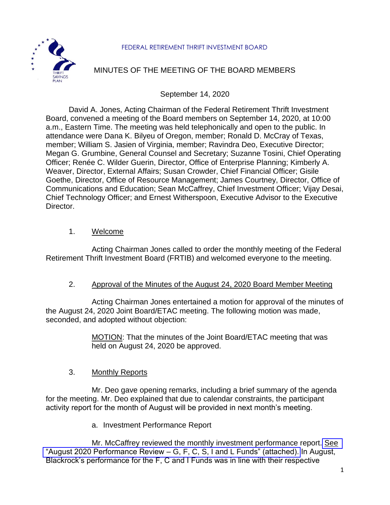



# MINUTES OF THE MEETING OF THE BOARD MEMBERS

September 14, 2020

David A. Jones, Acting Chairman of the Federal Retirement Thrift Investment Board, convened a meeting of the Board members on September 14, 2020, at 10:00 a.m., Eastern Time. The meeting was held telephonically and open to the public. In attendance were Dana K. Bilyeu of Oregon, member; Ronald D. McCray of Texas, member; William S. Jasien of Virginia, member; Ravindra Deo, Executive Director; Megan G. Grumbine, General Counsel and Secretary; Suzanne Tosini, Chief Operating Officer; Renée C. Wilder Guerin, Director, Office of Enterprise Planning; Kimberly A. Weaver, Director, External Affairs; Susan Crowder, Chief Financial Officer; Gisile Goethe, Director, Office of Resource Management; James Courtney, Director, Office of Communications and Education; Sean McCaffrey, Chief Investment Officer; Vijay Desai, Chief Technology Officer; and Ernest Witherspoon, Executive Advisor to the Executive Director.

#### 1. Welcome

Acting Chairman Jones called to order the monthly meeting of the Federal Retirement Thrift Investment Board (FRTIB) and welcomed everyone to the meeting.

## 2. Approval of the Minutes of the August 24, 2020 Board Member Meeting

Acting Chairman Jones entertained a motion for approval of the minutes of the August 24, 2020 Joint Board/ETAC meeting. The following motion was made, seconded, and adopted without objection:

> MOTION: That the minutes of the Joint Board/ETAC meeting that was held on August 24, 2020 be approved.

## 3. Monthly Reports

Mr. Deo gave opening remarks, including a brief summary of the agenda for the meeting. Mr. Deo explained that due to calendar constraints, the participant activity report for the month of August will be provided in next month's meeting.

a. Investment Performance Report

Mr. McCaffrey reviewed the monthly investment performance report. [See](https://www.frtib.gov/pdf/minutes/2020/Sept/MM-2020Sept-Att1.pdf) "August 2020 Performance Review – [G, F, C, S, I and L Funds" \(attached\).](https://www.frtib.gov/pdf/minutes/2020/Sept/MM-2020Sept-Att1.pdf) In August, Blackrock's performance for the F, C and I Funds was in line with their respective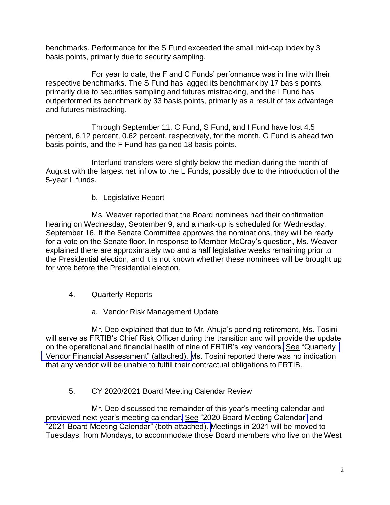benchmarks. Performance for the S Fund exceeded the small mid-cap index by 3 basis points, primarily due to security sampling.

For year to date, the F and C Funds' performance was in line with their respective benchmarks. The S Fund has lagged its benchmark by 17 basis points, primarily due to securities sampling and futures mistracking, and the I Fund has outperformed its benchmark by 33 basis points, primarily as a result of tax advantage and futures mistracking.

Through September 11, C Fund, S Fund, and I Fund have lost 4.5 percent, 6.12 percent, 0.62 percent, respectively, for the month. G Fund is ahead two basis points, and the F Fund has gained 18 basis points.

Interfund transfers were slightly below the median during the month of August with the largest net inflow to the L Funds, possibly due to the introduction of the 5-year L funds.

b. Legislative Report

Ms. Weaver reported that the Board nominees had their confirmation hearing on Wednesday, September 9, and a mark-up is scheduled for Wednesday, September 16. If the Senate Committee approves the nominations, they will be ready for a vote on the Senate floor. In response to Member McCray's question, Ms. Weaver explained there are approximately two and a half legislative weeks remaining prior to the Presidential election, and it is not known whether these nominees will be brought up for vote before the Presidential election.

- 4. Quarterly Reports
	- a. Vendor Risk Management Update

Mr. Deo explained that due to Mr. Ahuja's pending retirement, Ms. Tosini will serve as FRTIB's Chief Risk Officer during the transition and will provide the update on the operational and financial health of nine of FRTIB's key vendors. See ["Quarterly](https://www.frtib.gov/pdf/minutes/2020/Sept/MM-2020Sept-Att2.pdf)  [Vendor Financial Assessment" \(attached\). M](https://www.frtib.gov/pdf/minutes/2020/Sept/MM-2020Sept-Att2.pdf)s. Tosini reported there was no indication that any vendor will be unable to fulfill their contractual obligations to FRTIB.

## 5. CY 2020/2021 Board Meeting Calendar Review

Mr. Deo discussed the remainder of this year's meeting calendar and previewed next year's meeting calendar. See ["2020 Board Meeting Calendar"](https://www.frtib.gov/pdf/minutes/2020/Sept/MM-2020Sept-Att3.pdf) and ["2021 Board Meeting Calendar" \(both attached\). M](https://www.frtib.gov/pdf/minutes/2020/Sept/MM-2020Sept-Att4.pdf)eetings in 2021 will be moved to Tuesdays, from Mondays, to accommodate those Board members who live on the West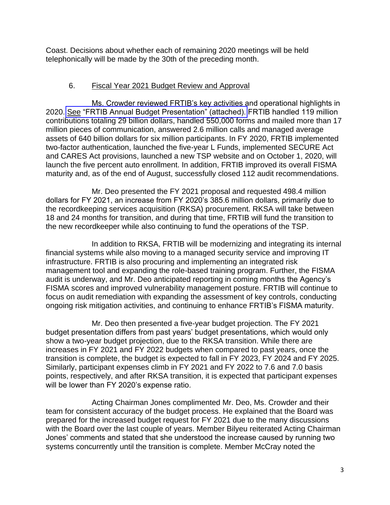Coast. Decisions about whether each of remaining 2020 meetings will be held telephonically will be made by the 30th of the preceding month.

## 6. Fiscal Year 2021 Budget Review and Approval

Ms. Crowder reviewed FRTIB's key activities and operational highlights in 2020. See ["FRTIB Annual Budget Presentation" \(attached\).](https://www.frtib.gov/pdf/minutes/2020/Sept/MM-2020Sept-Att5.pdf) FRTIB handled 119 million contributions totaling 29 billion dollars, handled 550,000 forms and mailed more than 17 million pieces of communication, answered 2.6 million calls and managed average assets of 640 billion dollars for six million participants. In FY 2020, FRTIB implemented two-factor authentication, launched the five-year L Funds, implemented SECURE Act and CARES Act provisions, launched a new TSP website and on October 1, 2020, will launch the five percent auto enrollment. In addition, FRTIB improved its overall FISMA maturity and, as of the end of August, successfully closed 112 audit recommendations.

Mr. Deo presented the FY 2021 proposal and requested 498.4 million dollars for FY 2021, an increase from FY 2020's 385.6 million dollars, primarily due to the recordkeeping services acquisition (RKSA) procurement. RKSA will take between 18 and 24 months for transition, and during that time, FRTIB will fund the transition to the new recordkeeper while also continuing to fund the operations of the TSP.

In addition to RKSA, FRTIB will be modernizing and integrating its internal financial systems while also moving to a managed security service and improving IT infrastructure. FRTIB is also procuring and implementing an integrated risk management tool and expanding the role-based training program. Further, the FISMA audit is underway, and Mr. Deo anticipated reporting in coming months the Agency's FISMA scores and improved vulnerability management posture. FRTIB will continue to focus on audit remediation with expanding the assessment of key controls, conducting ongoing risk mitigation activities, and continuing to enhance FRTIB's FISMA maturity.

Mr. Deo then presented a five-year budget projection. The FY 2021 budget presentation differs from past years' budget presentations, which would only show a two-year budget projection, due to the RKSA transition. While there are increases in FY 2021 and FY 2022 budgets when compared to past years, once the transition is complete, the budget is expected to fall in FY 2023, FY 2024 and FY 2025. Similarly, participant expenses climb in FY 2021 and FY 2022 to 7.6 and 7.0 basis points, respectively, and after RKSA transition, it is expected that participant expenses will be lower than FY 2020's expense ratio.

Acting Chairman Jones complimented Mr. Deo, Ms. Crowder and their team for consistent accuracy of the budget process. He explained that the Board was prepared for the increased budget request for FY 2021 due to the many discussions with the Board over the last couple of years. Member Bilyeu reiterated Acting Chairman Jones' comments and stated that she understood the increase caused by running two systems concurrently until the transition is complete. Member McCray noted the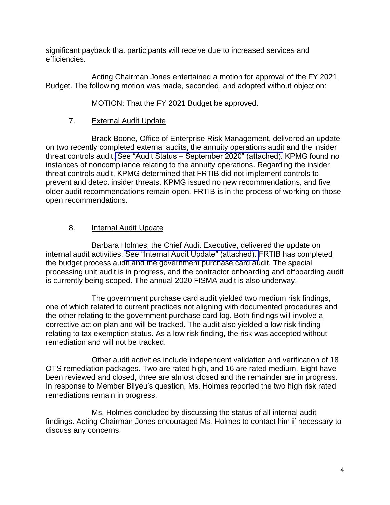significant payback that participants will receive due to increased services and efficiencies.

Acting Chairman Jones entertained a motion for approval of the FY 2021 Budget. The following motion was made, seconded, and adopted without objection:

MOTION: That the FY 2021 Budget be approved.

# 7. External Audit Update

Brack Boone, Office of Enterprise Risk Management, delivered an update on two recently completed external audits, the annuity operations audit and the insider threat controls audit. See "Audit Status – [September 2020" \(attached\).](https://www.frtib.gov/pdf/minutes/2020/Sept/MM-2020Sept-Att6.pdf) KPMG found no instances of noncompliance relating to the annuity operations. Regarding the insider threat controls audit, KPMG determined that FRTIB did not implement controls to prevent and detect insider threats. KPMG issued no new recommendations, and five older audit recommendations remain open. FRTIB is in the process of working on those open recommendations.

# 8. Internal Audit Update

Barbara Holmes, the Chief Audit Executive, delivered the update on internal audit activities. See ["Internal Audit Update" \(attached\).](https://www.frtib.gov/pdf/minutes/2020/Sept/MM-2020Sept-Att10.pdf) FRTIB has completed the budget process audit and the government purchase card audit. The special processing unit audit is in progress, and the contractor onboarding and offboarding audit is currently being scoped. The annual 2020 FISMA audit is also underway.

The government purchase card audit yielded two medium risk findings, one of which related to current practices not aligning with documented procedures and the other relating to the government purchase card log. Both findings will involve a corrective action plan and will be tracked. The audit also yielded a low risk finding relating to tax exemption status. As a low risk finding, the risk was accepted without remediation and will not be tracked.

Other audit activities include independent validation and verification of 18 OTS remediation packages. Two are rated high, and 16 are rated medium. Eight have been reviewed and closed, three are almost closed and the remainder are in progress. In response to Member Bilyeu's question, Ms. Holmes reported the two high risk rated remediations remain in progress.

Ms. Holmes concluded by discussing the status of all internal audit findings. Acting Chairman Jones encouraged Ms. Holmes to contact him if necessary to discuss any concerns.